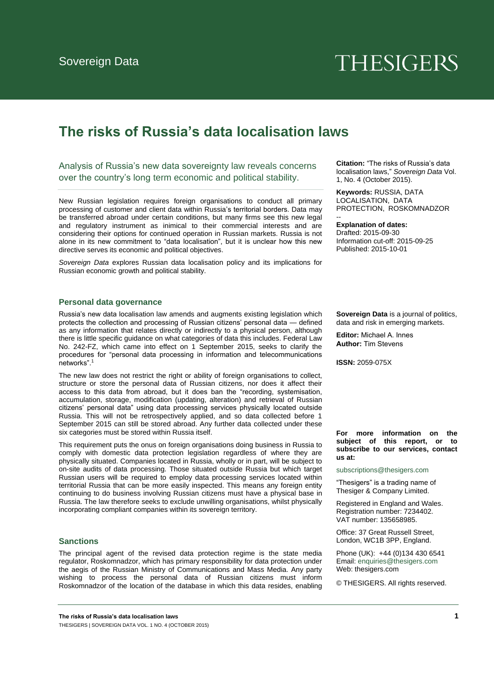# **THESIGERS**

# **The risks of Russia's data localisation laws**

Analysis of Russia's new data sovereignty law reveals concerns over the country's long term economic and political stability.

New Russian legislation requires foreign organisations to conduct all primary processing of customer and client data within Russia's territorial borders. Data may be transferred abroad under certain conditions, but many firms see this new legal and regulatory instrument as inimical to their commercial interests and are considering their options for continued operation in Russian markets. Russia is not alone in its new commitment to "data localisation", but it is unclear how this new directive serves its economic and political objectives.

*Sovereign Data* explores Russian data localisation policy and its implications for Russian economic growth and political stability.

## **Personal data governance**

Russia's new data localisation law amends and augments existing legislation which protects the collection and processing of Russian citizens' personal data — defined as any information that relates directly or indirectly to a physical person, although there is little specific guidance on what categories of data this includes. Federal Law No. 242-FZ, which came into effect on 1 September 2015, seeks to clarify the procedures for "personal data processing in information and telecommunications networks"

The new law does not restrict the right or ability of foreign organisations to collect, structure or store the personal data of Russian citizens, nor does it affect their access to this data from abroad, but it does ban the "recording, systemisation, accumulation, storage, modification (updating, alteration) and retrieval of Russian citizens' personal data" using data processing services physically located outside Russia. This will not be retrospectively applied, and so data collected before 1 September 2015 can still be stored abroad. Any further data collected under these six categories must be stored within Russia itself.

This requirement puts the onus on foreign organisations doing business in Russia to comply with domestic data protection legislation regardless of where they are physically situated. Companies located in Russia, wholly or in part, will be subject to on-site audits of data processing. Those situated outside Russia but which target Russian users will be required to employ data processing services located within territorial Russia that can be more easily inspected. This means any foreign entity continuing to do business involving Russian citizens must have a physical base in Russia. The law therefore seeks to exclude unwilling organisations, whilst physically incorporating compliant companies within its sovereign territory.

# **Sanctions**

The principal agent of the revised data protection regime is the state media regulator, Roskomnadzor, which has primary responsibility for data protection under the aegis of the Russian Ministry of Communications and Mass Media. Any party wishing to process the personal data of Russian citizens must inform Roskomnadzor of the location of the database in which this data resides, enabling

**Citation:** "The risks of Russia's data localisation laws," *Sovereign Data* Vol. 1, No. 4 (October 2015).

**Keywords:** RUSSIA, DATA LOCALISATION, DATA PROTECTION, ROSKOMNADZOR

#### **Explanation of dates:**

--

Drafted: 2015-09-30 Information cut-off: 2015-09-25 Published: 2015-10-01

**Sovereign Data** is a journal of politics, data and risk in emerging markets.

**Editor:** Michael A. Innes **Author:** Tim Stevens

**ISSN:** 2059-075X

**For more information on the subject of this report, or to subscribe to our services, contact us at:** 

[subscriptions@thesigers.com](mailto:subscriptions@thesigers.com)

"Thesigers" is a trading name of Thesiger & Company Limited.

Registered in England and Wales. Registration number: 7234402. VAT number: 135658985.

Office: 37 Great Russell Street, London, WC1B 3PP, England.

Phon[e \(UK\): +44 \(0\)134 430 654](mailto:enquiries@thesigers.com)1 Email: enquiries@thesigers.com Web: thesigers.com

© THESIGERS. All rights reserved.

**The risks of Russia's data localisation laws 1** THESIGERS | SOVEREIGN DATA VOL. 1 NO. 4 (OCTOBER 2015)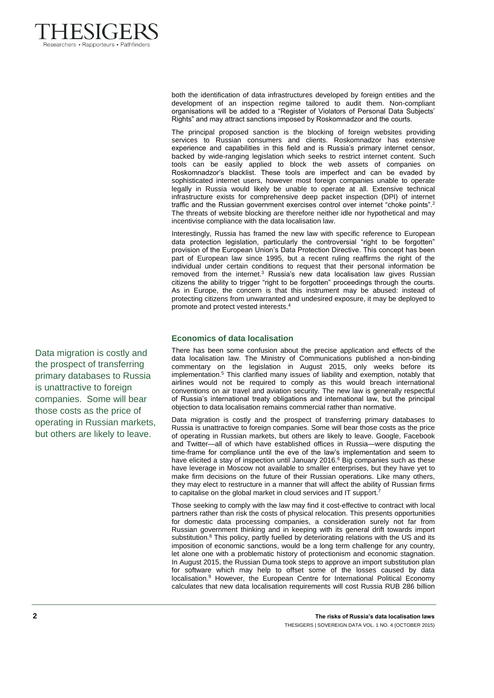

both the identification of data infrastructures developed by foreign entities and the development of an inspection regime tailored to audit them. Non-compliant organisations will be added to a "Register of Violators of Personal Data Subjects' Rights" and may attract sanctions imposed by Roskomnadzor and the courts.

The principal proposed sanction is the blocking of foreign websites providing services to Russian consumers and clients. Roskomnadzor has extensive experience and capabilities in this field and is Russia's primary internet censor, backed by wide-ranging legislation which seeks to restrict internet content. Such tools can be easily applied to block the web assets of companies on Roskomnadzor's blacklist. These tools are imperfect and can be evaded by sophisticated internet users, however most foreign companies unable to operate legally in Russia would likely be unable to operate at all. Extensive technical infrastructure exists for comprehensive deep packet inspection (DPI) of internet traffic and the Russian government exercises control over internet "choke points".<sup>2</sup> The threats of website blocking are therefore neither idle nor hypothetical and may incentivise compliance with the data localisation law.

Interestingly, Russia has framed the new law with specific reference to European data protection legislation, particularly the controversial "right to be forgotten" provision of the European Union's Data Protection Directive. This concept has been part of European law since 1995, but a recent ruling reaffirms the right of the individual under certain conditions to request that their personal information be removed from the internet. $3$  Russia's new data localisation law gives Russian citizens the ability to trigger "right to be forgotten" proceedings through the courts. As in Europe, the concern is that this instrument may be abused: instead of protecting citizens from unwarranted and undesired exposure, it may be deployed to promote and protect vested interests.<sup>4</sup>

# **Economics of data localisation**

There has been some confusion about the precise application and effects of the data localisation law. The Ministry of Communications published a non-binding commentary on the legislation in August 2015, only weeks before its implementation.<sup>5</sup> This clarified many issues of liability and exemption, notably that airlines would not be required to comply as this would breach international conventions on air travel and aviation security. The new law is generally respectful of Russia's international treaty obligations and international law, but the principal objection to data localisation remains commercial rather than normative.

Data migration is costly and the prospect of transferring primary databases to Russia is unattractive to foreign companies. Some will bear those costs as the price of operating in Russian markets, but others are likely to leave. Google, Facebook and Twitter—all of which have established offices in Russia—were disputing the time-frame for compliance until the eve of the law's implementation and seem to have elicited a stay of inspection until January 2016.<sup>6</sup> Big companies such as these have leverage in Moscow not available to smaller enterprises, but they have yet to make firm decisions on the future of their Russian operations. Like many others, they may elect to restructure in a manner that will affect the ability of Russian firms to capitalise on the global market in cloud services and IT support. Ĩ.

Those seeking to comply with the law may find it cost-effective to contract with local partners rather than risk the costs of physical relocation. This presents opportunities for domestic data processing companies, a consideration surely not far from Russian government thinking and in keeping with its general drift towards import substitution.<sup>8</sup> This policy, partly fuelled by deteriorating relations with the US and its imposition of economic sanctions, would be a long term challenge for any country, let alone one with a problematic history of protectionism and economic stagnation. In August 2015, the Russian Duma took steps to approve an import substitution plan for software which may help to offset some of the losses caused by data localisation.<sup>9</sup> However, the European Centre for International Political Economy calculates that new data localisation requirements will cost Russia RUB 286 billion

Data migration is costly and the prospect of transferring primary databases to Russia is unattractive to foreign companies. Some will bear those costs as the price of operating in Russian markets, but others are likely to leave.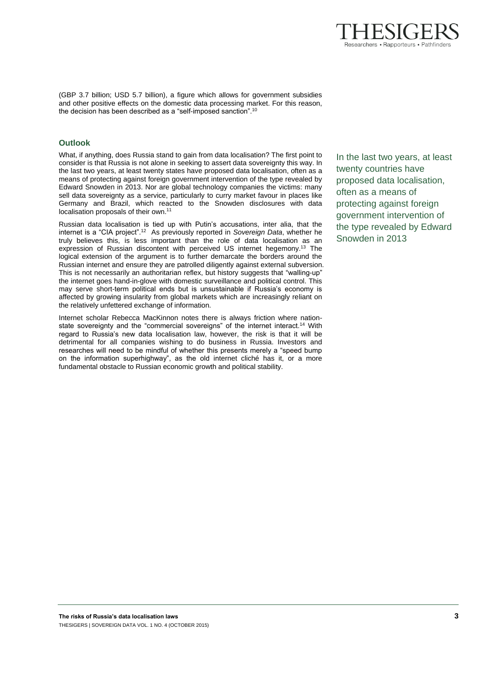

(GBP 3.7 billion; USD 5.7 billion), a figure which allows for government subsidies and other positive effects on the domestic data processing market. For this reason, the decision has been described as a "self-imposed sanction".<sup>10</sup>

# **Outlook**

What, if anything, does Russia stand to gain from data localisation? The first point to consider is that Russia is not alone in seeking to assert data sovereignty this way. In the last two years, at least twenty states have proposed data localisation, often as a means of protecting against foreign government intervention of the type revealed by Edward Snowden in 2013. Nor are global technology companies the victims: many sell data sovereignty as a service, particularly to curry market favour in places like Germany and Brazil, which reacted to the Snowden disclosures with data localisation proposals of their own.<sup>11</sup>

Russian data localisation is tied up with Putin's accusations, inter alia, that the internet is a "CIA project".<sup>12</sup> As previously reported in *Sovereign Data*, whether he truly believes this, is less important than the role of data localisation as an expression of Russian discontent with perceived US internet hegemony.<sup>13</sup> The logical extension of the argument is to further demarcate the borders around the Russian internet and ensure they are patrolled diligently against external subversion. This is not necessarily an authoritarian reflex, but history suggests that "walling-up" the internet goes hand-in-glove with domestic surveillance and political control. This may serve short-term political ends but is unsustainable if Russia's economy is affected by growing insularity from global markets which are increasingly reliant on the relatively unfettered exchange of information.

Internet scholar Rebecca MacKinnon notes there is always friction where nationstate sovereignty and the "commercial sovereigns" of the internet interact.<sup>14</sup> With regard to Russia's new data localisation law, however, the risk is that it will be detrimental for all companies wishing to do business in Russia. Investors and researches will need to be mindful of whether this presents merely a "speed bump on the information superhighway", as the old internet cliché has it, or a more fundamental obstacle to Russian economic growth and political stability.

In the last two years, at least twenty countries have proposed data localisation, often as a means of protecting against foreign government intervention of the type revealed by Edward Snowden in 2013